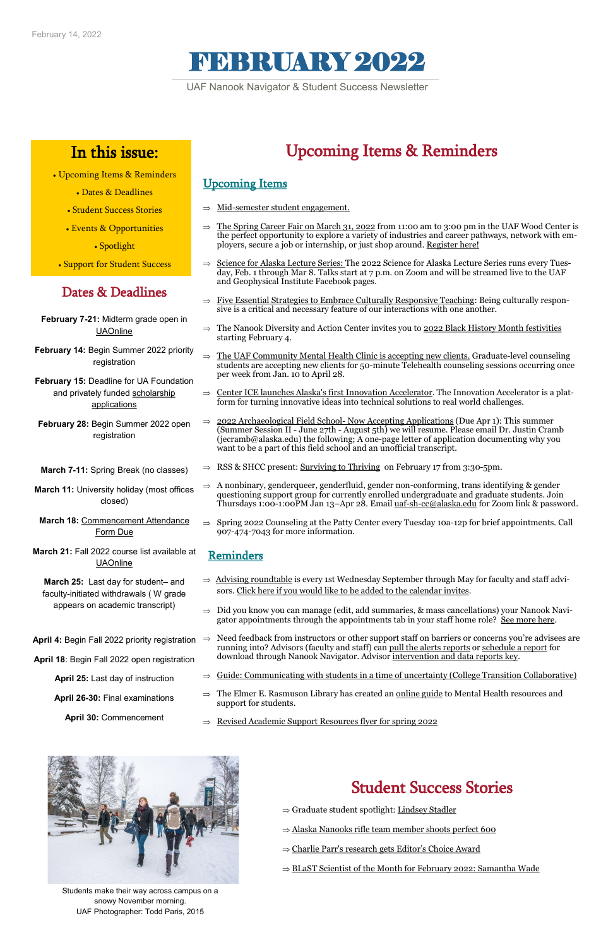# FEBRUARY 2022

### Dates & Deadlines

- **February 7-21:** Midterm grade open in **[UAOnline](https://www.alaska.edu/uaonline/)**
- **February 14:** Begin Summer 2022 priority registration
- **February 15:** Deadline for UA Foundation and privately funded scholarship [applications](https://cl.s7.exct.net/?qs=1691993caa9918adf9610c6aa585f6a5f424e0510229862f13200bb2005fa43be405ea0d04a2698f23901ebd27a19fdf819109df2470323a)
- **February 28:** Begin Summer 2022 open registration
- **March 7-11:** Spring Break (no classes)
- **March 11:** University holiday (most offices closed)
- **March 18:** [Commencement Attendance](https://cdn.jotfor.ms/200075260241137)  [Form Due](https://cdn.jotfor.ms/200075260241137)
- **March 21:** Fall 2022 course list available at **[UAOnline](https://www.alaska.edu/uaonline/)**
- **March 25:** Last day for student– and faculty-initiated withdrawals ( W grade appears on academic transcript)
- **April 4: Begin Fall 2022 priority registration ⇒**
- **April 18**: Begin Fall 2022 open registration
	- **April 25:** Last day of instruction
	-

**April 26-30:** Final examinations

**April 30:** Commencement

## In this issue:

- Upcoming Items & Reminders
	- Dates & Deadlines
	- Student Success Stories
	- [Events & Opportunities](#page-1-0)

• Spotlight

• Support for Student Success

UAF Nanook Navigator & Student Success Newsletter

## Upcoming Items & Reminders

### Upcoming Items

- $\Rightarrow$  [Advising roundtable](https://univalaska.sharepoint.com/sites/UAFAdvising/SitePages/Academic-Advising-Roundtable.aspx) is every 1st Wednesday September through May for faculty and staff advisors. [Click here if you would like to be added to the calendar invites.](https://docs.google.com/forms/d/1B0Vfwj7JdcIf6qjiqrVJk2YjjUXqdLemnsnpbE3YGjo/edit)
- $\Rightarrow$  Did you know you can manage (edit, add summaries, & mass cancellations) your Nanook Navigator appointments through the appointments tab in your staff home role? See more here.
- Need feedback from instructors or other support staff on barriers or concerns you're advisees are running into? Advisors (faculty and staff) can [pull the alerts reports](https://media.uaf.edu/media/t/1_1hcpng81) or [schedule a report](https://player.vimeo.com/video/647893011?h=1b8648cb9a) for download through Nanook Navigator. Advisor [intervention and data reports key.](https://uaf.edu/gs/nanooknavigator/files/Nanook%20Navigator-%20Advisor%20Intervention%20and%20Data%20Reports.pdf)
	- $\Rightarrow$  [Guide: Communicating with students in a time of uncertainty \(College Transition Collaborative\)](http://collegetransitioncollaborative.org/covid-19-response-supporting-students-in-times-of-uncertainty/communication-guide/)
	- The Elmer E. Rasmuson Library has created an [online guide](https://library.uaf.edu/topics/mental-health-resources) to Mental Health resources and
- support for students.
- $\Rightarrow$  [Revised Academic Support Resources flyer for spring 2022](https://www.uaf.edu/advising/student-resources/)



- Mid-[semester student engagement.](https://uaf.edu/gs/nanooknavigator/files/Nanook%20Navigator-%20Advisor%20Engagement%20and%20Support.pdf)
- [The Spring Career Fair on March 31, 2022](https://www.uaf.edu/career/events/spring-career-fair/) from 11:00 am to 3:00 pm in the UAF Wood Center is the perfect opportunity to explore a variety of industries and career pathways, network with employers, secure a job or internship, or just shop around. [Register here!](https://uaf.edu/news/spring-career-fair-registration-open.php)
- $\Rightarrow$  [Science for Alaska Lecture Series:](https://uaf.edu/news/30th-annual-science-for-alaska-lecture-series-announced.php) The 2022 Science for Alaska Lecture Series runs every Tuesday, Feb. 1 through Mar 8. Talks start at 7 p.m. on Zoom and will be streamed live to the UAF and Geophysical Institute Facebook pages.
- $\Rightarrow$  [Five Essential Strategies to Embrace Culturally Responsive Teaching:](https://www.facultyfocus.com/articles/equality-inclusion-and-diversity/five-essential-strategies-to-embrace-culturally-responsive-teaching/) Being culturally responsive is a critical and necessary feature of our interactions with one another.
- $\Rightarrow$  The Nanook Diversity and Action Center invites you to [2022 Black History Month festivities](https://uaf.edu/news/black-history-month-events-at-uaf.php) starting February 4.
- $\Rightarrow$  [The UAF Community Mental Health Clinic is accepting new clients.](https://uaf.edu/news/community-mental-health-clinic-taking-new-clients.php) Graduate-level counseling students are accepting new clients for 50-minute Telehealth counseling sessions occurring once per week from Jan. 10 to April 28.
- $\Rightarrow$  [Center ICE launches Alaska's first Innovation Accelerator.](https://uaf.edu/news/alaskas-first-ever-innovation-accelerator.php) The Innovation Accelerator is a platform for turning innovative ideas into technical solutions to real world challenges.
- $\Rightarrow$  [2022 Archaeological Field School](chrome-extension://efaidnbmnnnibpcajpcglclefindmkaj/viewer.html?pdfurl=https%3A%2F%2Fuaf.edu%2Fanthro%2Ffield-school%2FCHENA%2520fieldschool%2520flier%25202022%2520-%252012312021.pdf&clen=2206473&chunk=true) Now Accepting Applications (Due Apr 1): This summer (Summer Session II - June 27th - August 5th) we will resume. Please email Dr. Justin Cramb (jecramb@alaska.edu) the following; A one-page letter of application documenting why you want to be a part of this field school and an unofficial transcript.
	- $\Rightarrow$  RSS & SHCC present: [Surviving to Thriving](https://alaska.zoom.us/j/89225088154) on February 17 from 3:30-5pm.
- $\Rightarrow$  A nonbinary, genderqueer, genderfluid, gender non-conforming, trans identifying & gender questioning support group for currently enrolled undergraduate and graduate students. Join Thursdays 1:00-1:00PM Jan 13–Apr 28. Email uaf-sh-[cc@alaska.edu](mailto:uaf-sh-cc@alaska.edu) for Zoom link & password.
- $\Rightarrow$  Spring 2022 Counseling at the Patty Center every Tuesday 10a-12p for brief appointments. Call 907-474-7043 for more information.

### Reminders

### Student Success Stories

- $\Rightarrow$  [Graduate student spotlight: Lindsey Stadler](https://uaf.edu/news/graduate-student-spotlight-lindsey-stadler.php)
- $\Rightarrow$  [Alaska Nanooks rifle team member shoots perfect 600](https://uaf.edu/news/alaska-nanooks-rifle-team-member-shoots-perfect-600.php)
- $\Rightarrow$  [Charlie Parr's research gets Editor](https://uaf.edu/news/students-research-gets-editors-choice-award.php)'s Choice Award
- $\Rightarrow$  [BLaST Scientist of the Month for February 2022: Samantha Wade](https://uaf.edu/news/blast-scientist-february-2022-samantha-wade.php)

Students make their way across campus on a snowy November morning. UAF Photographer: Todd Paris, 2015